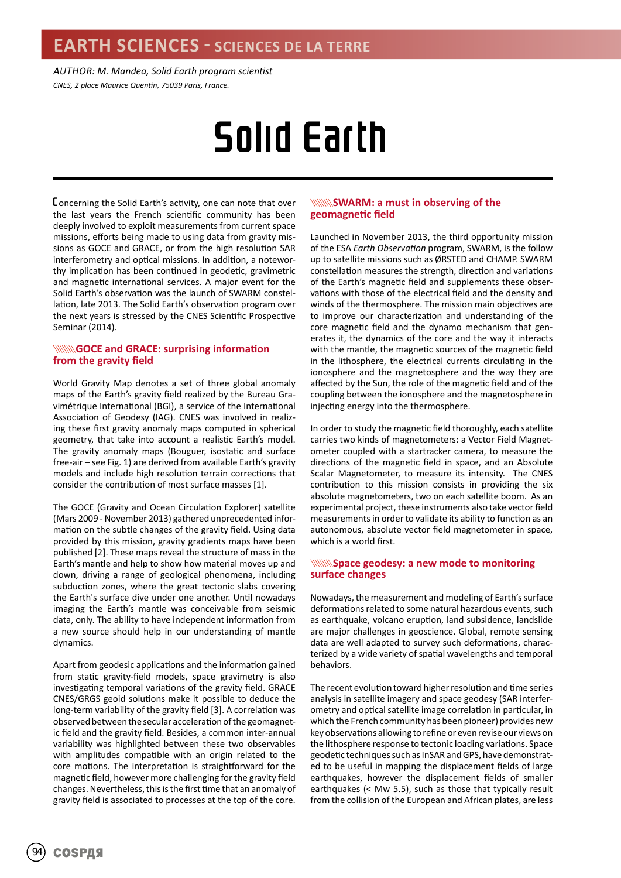*AUTHOR: M. Mandea, Solid Earth program scientist CNES, 2 place Maurice Quentin, 75039 Paris, France.*

# Solid Earth

Concerning the Solid Earth's activity, one can note that over the last years the French scientific community has been deeply involved to exploit measurements from current space missions, efforts being made to using data from gravity missions as GOCE and GRACE, or from the high resolution SAR interferometry and optical missions. In addition, a noteworthy implication has been continued in geodetic, gravimetric and magnetic international services. A major event for the Solid Earth's observation was the launch of SWARM constellation, late 2013. The Solid Earth's observation program over the next years is stressed by the CNES Scientific Prospective Seminar (2014).

## **WINNINGOCE and GRACE: surprising information from the gravity field**

World Gravity Map denotes a set of three global anomaly maps of the Earth's gravity field realized by the Bureau Gravimétrique International (BGI), a service of the International Association of Geodesy (IAG). CNES was involved in realizing these first gravity anomaly maps computed in spherical geometry, that take into account a realistic Earth's model. The gravity anomaly maps (Bouguer, isostatic and surface free-air – see Fig. 1) are derived from available Earth's gravity models and include high resolution terrain corrections that consider the contribution of most surface masses [1].

The GOCE (Gravity and Ocean Circulation Explorer) satellite (Mars 2009 - November 2013) gathered unprecedented information on the subtle changes of the gravity field. Using data provided by this mission, gravity gradients maps have been published [2]. These maps reveal the structure of mass in the Earth's mantle and help to show how material moves up and down, driving a range of geological phenomena, including subduction zones, where the great tectonic slabs covering the Earth's surface dive under one another. Until nowadays imaging the Earth's mantle was conceivable from seismic data, only. The ability to have independent information from a new source should help in our understanding of mantle dynamics.

Apart from geodesic applications and the information gained from static gravity-field models, space gravimetry is also investigating temporal variations of the gravity field. GRACE CNES/GRGS geoid solutions make it possible to deduce the long-term variability of the gravity field [3]. A correlation was observed between the secular acceleration of the geomagnetic field and the gravity field. Besides, a common inter-annual variability was highlighted between these two observables with amplitudes compatible with an origin related to the core motions. The interpretation is straightforward for the magnetic field, however more challenging for the gravity field changes. Nevertheless, this is the first time that an anomaly of gravity field is associated to processes at the top of the core.

## **WINNISWARM: a must in observing of the geomagnetic field**

Launched in November 2013, the third opportunity mission of the ESA *Earth Observation* program, SWARM, is the follow up to satellite missions such as ØRSTED and CHAMP. SWARM constellation measures the strength, direction and variations of the Earth's magnetic field and supplements these observations with those of the electrical field and the density and winds of the thermosphere. The mission main objectives are to improve our characterization and understanding of the core magnetic field and the dynamo mechanism that generates it, the dynamics of the core and the way it interacts with the mantle, the magnetic sources of the magnetic field in the lithosphere, the electrical currents circulating in the ionosphere and the magnetosphere and the way they are affected by the Sun, the role of the magnetic field and of the coupling between the ionosphere and the magnetosphere in injecting energy into the thermosphere.

In order to study the magnetic field thoroughly, each satellite carries two kinds of magnetometers: a Vector Field Magnetometer coupled with a startracker camera, to measure the directions of the magnetic field in space, and an Absolute Scalar Magnetometer, to measure its intensity. The CNES contribution to this mission consists in providing the six absolute magnetometers, two on each satellite boom. As an experimental project, these instruments also take vector field measurements in order to validate its ability to function as an autonomous, absolute vector field magnetometer in space, which is a world first.

## **WINNING pace geodesy: a new mode to monitoring surface changes**

Nowadays, the measurement and modeling of Earth's surface deformations related to some natural hazardous events, such as earthquake, volcano eruption, land subsidence, landslide are major challenges in geoscience. Global, remote sensing data are well adapted to survey such deformations, characterized by a wide variety of spatial wavelengths and temporal behaviors.

The recent evolution toward higher resolution and time series analysis in satellite imagery and space geodesy (SAR interferometry and optical satellite image correlation in particular, in which the French community has been pioneer) provides new key observations allowing to refine or even revise our views on the lithosphere response to tectonic loading variations. Space geodetic techniques such as InSAR and GPS, have demonstrated to be useful in mapping the displacement fields of large earthquakes, however the displacement fields of smaller earthquakes (< Mw 5.5), such as those that typically result from the collision of the European and African plates, are less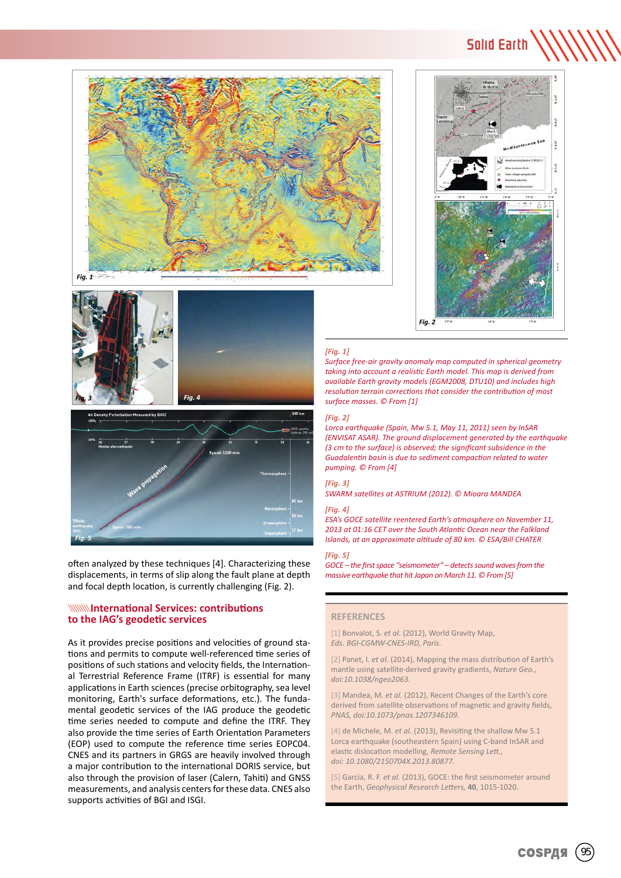



Solid Earth

×.

## *[Fig. 1]*

*Surface free-air gravity anomaly map computed in spherical geometry taking into account a realistic Earth model. This map is derived from available Earth gravity models (EGM2008, DTU10) and includes high resolution terrain corrections that consider the contribution of most surface masses. © From [1]*

### *[Fig. 2]*

*Lorca earthquake (Spain, Mw 5.1, May 11, 2011) seen by InSAR (ENVISAT ASAR). The ground displacement generated by the earthquake (3 cm to the surface) is observed; the significant subsidence in the Guadalentin basin is due to sediment compaction related to water pumping. © From [4]*

## *[Fig. 3]*

*SWARM satellites at ASTRIUM (2012). © Mioara MANDEA*

#### *[Fig. 4]*

*ESA's GOCE satellite reentered Earth's atmosphere on November 11, 2013 at 01:16 CET over the South Atlantic Ocean near the Falkland Islands, at an approximate altitude of 80 km. © ESA/Bill CHATER*

## *[Fig. 5]*

*GOCE – the first space "seismometer" – detects sound waves from the massive earthquake that hit Japan on March 11. © From [5]*

## **REFERENCES**

[1] Bonvalot, S. *et al.* (2012), World Gravity Map, *Eds. BGI-CGMW-CNES-IRD, Paris.*

[2] Panet, I. *et al.* (2014), Mapping the mass distribution of Earth's mantle using satellite-derived gravity gradients, *Nature Geo., doi:10.1038/ngeo2063.*

[3] Mandea, M. *et al.* (2012), Recent Changes of the Earth's core derived from satellite observations of magnetic and gravity fields, *PNAS, doi:10.1073/pnas.1207346109.*

[4] de Michele, M. *et al.* (2013), Revisiting the shallow Mw 5.1 Lorca earthquake (southeastern Spain) using C-band InSAR and elastic dislocation modelling, *Remote Sensing Lett., doi: 10.1080/2150704X.2013.80877.*

[5] Garcia, R. F. *et al.* (2013), GOCE: the first seismometer around the Earth, *Geophysical Research Letters,* **40**, 1015-1020.

*Fig. 3 Fig. 4* n Measured by GOC



often analyzed by these techniques [4]. Characterizing these displacements, in terms of slip along the fault plane at depth and focal depth location, is currently challenging (Fig. 2).

## **International Services: contributions to the IAG's geodetic services**

As it provides precise positions and velocities of ground stations and permits to compute well-referenced time series of positions of such stations and velocity fields, the International Terrestrial Reference Frame (ITRF) is essential for many applications in Earth sciences (precise orbitography, sea level monitoring, Earth's surface deformations, etc.). The fundamental geodetic services of the IAG produce the geodetic time series needed to compute and define the ITRF. They also provide the time series of Earth Orientation Parameters (EOP) used to compute the reference time series EOPC04. CNES and its partners in GRGS are heavily involved through a major contribution to the international DORIS service, but also through the provision of laser (Calern, Tahiti) and GNSS measurements, and analysis centers for these data. CNES also supports activities of BGI and ISGI.

## COSPAS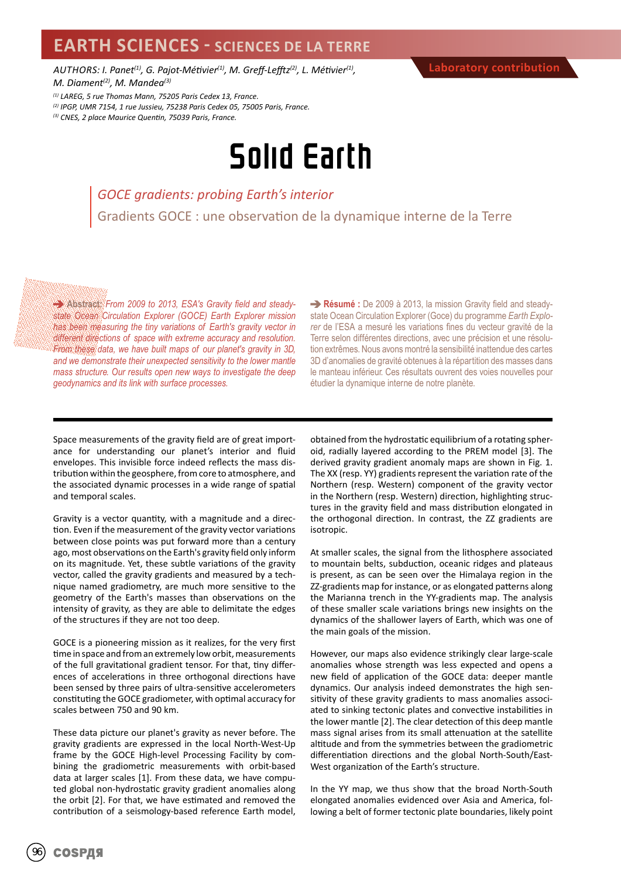## **EARTH SCIENCES - SCIENCES DE LA TERRE**

*AUTHORS: I. Panet(1), G. Pajot-Métivier(1), M. Greff-Lefftz(2), L. Métivier(1), M. Diament(2), M. Mandea(3)*

*(1) LAREG, 5 rue Thomas Mann, 75205 Paris Cedex 13, France.*

*(2) IPGP, UMR 7154, 1 rue Jussieu, 75238 Paris Cedex 05, 75005 Paris, France.*

*(3) CNES, 2 place Maurice Quentin, 75039 Paris, France.*

## Solid Earth

*GOCE gradients: probing Earth's interior* Gradients GOCE : une observation de la dynamique interne de la Terre

**Abstract:** *From 2009 to 2013, ESA's Gravity field and steadystate Ocean Circulation Explorer (GOCE) Earth Explorer mission has been measuring the tiny variations of Earth's gravity vector in different directions of space with extreme accuracy and resolution. From these data, we have built maps of our planet's gravity in 3D, and we demonstrate their unexpected sensitivity to the lower mantle mass structure. Our results open new ways to investigate the deep geodynamics and its link with surface processes.* 

**Résumé :** De 2009 à 2013, la mission Gravity field and steadystate Ocean Circulation Explorer (Goce) du programme *Earth Explorer* de l'ESA a mesuré les variations fines du vecteur gravité de la Terre selon différentes directions, avec une précision et une résolution extrêmes. Nous avons montré la sensibilité inattendue des cartes 3D d'anomalies de gravité obtenues à la répartition des masses dans le manteau inférieur. Ces résultats ouvrent des voies nouvelles pour étudier la dynamique interne de notre planète.

Space measurements of the gravity field are of great importance for understanding our planet's interior and fluid envelopes. This invisible force indeed reflects the mass distribution within the geosphere, from core to atmosphere, and the associated dynamic processes in a wide range of spatial and temporal scales.

Gravity is a vector quantity, with a magnitude and a direction. Even if the measurement of the gravity vector variations between close points was put forward more than a century ago, most observations on the Earth's gravity field only inform on its magnitude. Yet, these subtle variations of the gravity vector, called the gravity gradients and measured by a technique named gradiometry, are much more sensitive to the geometry of the Earth's masses than observations on the intensity of gravity, as they are able to delimitate the edges of the structures if they are not too deep.

GOCE is a pioneering mission as it realizes, for the very first time in space and from an extremely low orbit, measurements of the full gravitational gradient tensor. For that, tiny differences of accelerations in three orthogonal directions have been sensed by three pairs of ultra-sensitive accelerometers constituting the GOCE gradiometer, with optimal accuracy for scales between 750 and 90 km.

These data picture our planet's gravity as never before. The gravity gradients are expressed in the local North-West-Up frame by the GOCE High-level Processing Facility by combining the gradiometric measurements with orbit-based data at larger scales [1]. From these data, we have computed global non-hydrostatic gravity gradient anomalies along the orbit [2]. For that, we have estimated and removed the contribution of a seismology-based reference Earth model,

obtained from the hydrostatic equilibrium of a rotating spheroid, radially layered according to the PREM model [3]. The derived gravity gradient anomaly maps are shown in Fig. 1. The XX (resp. YY) gradients represent the variation rate of the Northern (resp. Western) component of the gravity vector in the Northern (resp. Western) direction, highlighting structures in the gravity field and mass distribution elongated in the orthogonal direction. In contrast, the ZZ gradients are isotropic.

At smaller scales, the signal from the lithosphere associated to mountain belts, subduction, oceanic ridges and plateaus is present, as can be seen over the Himalaya region in the ZZ-gradients map for instance, or as elongated patterns along the Marianna trench in the YY-gradients map. The analysis of these smaller scale variations brings new insights on the dynamics of the shallower layers of Earth, which was one of the main goals of the mission.

However, our maps also evidence strikingly clear large-scale anomalies whose strength was less expected and opens a new field of application of the GOCE data: deeper mantle dynamics. Our analysis indeed demonstrates the high sensitivity of these gravity gradients to mass anomalies associated to sinking tectonic plates and convective instabilities in the lower mantle [2]. The clear detection of this deep mantle mass signal arises from its small attenuation at the satellite altitude and from the symmetries between the gradiometric differentiation directions and the global North-South/East-West organization of the Earth's structure.

In the YY map, we thus show that the broad North-South elongated anomalies evidenced over Asia and America, following a belt of former tectonic plate boundaries, likely point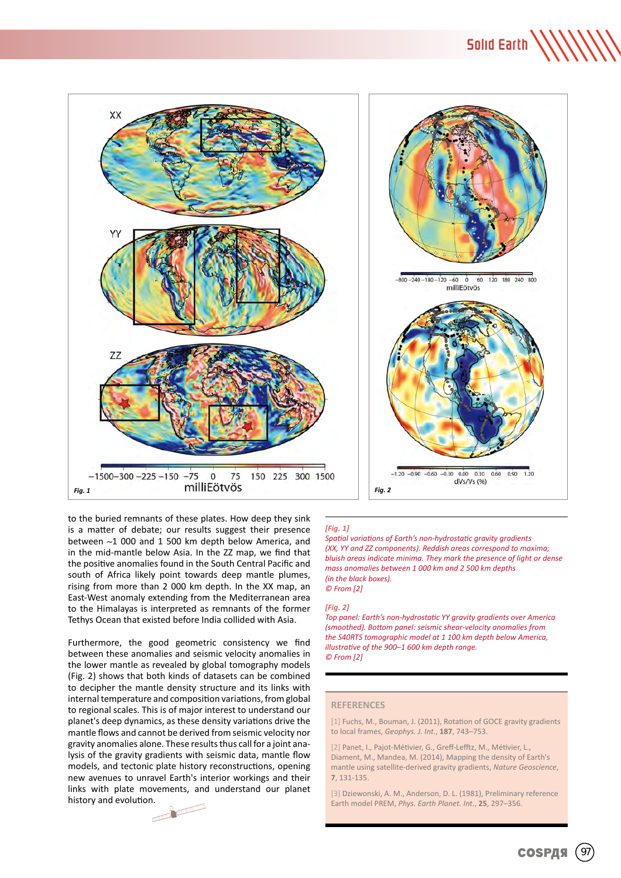## Solid Earth \\\\\\\





to the buried remnants of these plates. How deep they sink is a matter of debate; our results suggest their presence between ∼1 000 and 1 500 km depth below America, and in the mid-mantle below Asia. In the ZZ map, we find that the positive anomalies found in the South Central Pacific and south of Africa likely point towards deep mantle plumes, rising from more than 2 000 km depth. In the XX map, an East-West anomaly extending from the Mediterranean area to the Himalayas is interpreted as remnants of the former Tethys Ocean that existed before India collided with Asia.

Furthermore, the good geometric consistency we find between these anomalies and seismic velocity anomalies in the lower mantle as revealed by global tomography models (Fig. 2) shows that both kinds of datasets can be combined to decipher the mantle density structure and its links with internal temperature and composition variations, from global to regional scales. This is of major interest to understand our planet's deep dynamics, as these density variations drive the mantle flows and cannot be derived from seismic velocity nor gravity anomalies alone. These results thus call for a joint analysis of the gravity gradients with seismic data, mantle flow models, and tectonic plate history reconstructions, opening new avenues to unravel Earth's interior workings and their links with plate movements, and understand our planet history and evolution.

 $\overline{\mathcal{M}}$ 

## *[Fig. 1]*

*Spatial variations of Earth's non-hydrostatic gravity gradients (XX, YY and ZZ components). Reddish areas correspond to maxima; bluish areas indicate minima. They mark the presence of light or dense mass anomalies between 1 000 km and 2 500 km depths (in the black boxes). © From [2]*

#### *[Fig. 2]*

*Top panel: Earth's non-hydrostatic YY gravity gradients over America (smoothed). Bottom panel: seismic shear-velocity anomalies from the S40RTS tomographic model at 1 100 km depth below America, illustrative of the 900–1 600 km depth range. © From [2]*

## **REFERENCES**

[1] Fuchs, M., Bouman, J. (2011), Rotation of GOCE gravity gradients to local frames, *Geophys. J. Int.*, **187**, 743–753.

[2] Panet, I., Pajot-Métivier, G., Greff-Lefftz, M., Métivier, L. Diament, M., Mandea, M. (2014), Mapping the density of Earth's mantle using satellite-derived gravity gradients, *Nature Geoscience*, **7**, 131-135.

[3] Dziewonski, A. M., Anderson, D. L. (1981), Preliminary reference Earth model PREM, *Phys. Earth Planet. Int.*, **25**, 297–356.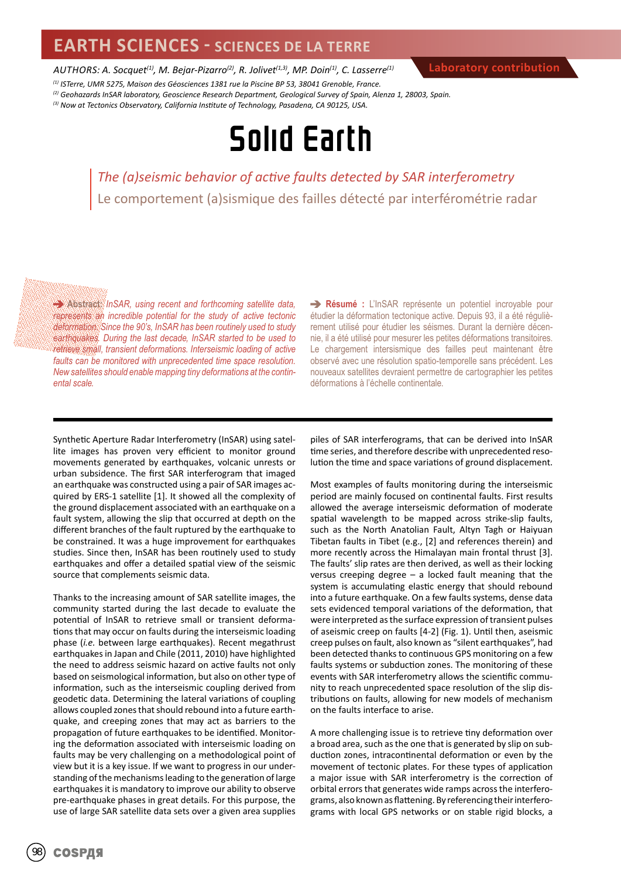## **EARTH SCIENCES - SCIENCES DE LA TERRE**

*AUTHORS: A. Socquet(1), M. Bejar-Pizarro(2), R. Jolivet(1,3), MP. Doin(1), C. Lasserre(1)*

**Laboratory contribution**

*(1) ISTerre, UMR 5275, Maison des Géosciences 1381 rue la Piscine BP 53, 38041 Grenoble, France. (2) Geohazards InSAR laboratory, Geoscience Research Department, Geological Survey of Spain, Alenza 1, 28003, Spain.*

*(3) Now at Tectonics Observatory, California Institute of Technology, Pasadena, CA 90125, USA.*

## Solid Earth

*The (a)seismic behavior of active faults detected by SAR interferometry* Le comportement (a)sismique des failles détecté par interférométrie radar

**Abstract:** *InSAR, using recent and forthcoming satellite data, represents an incredible potential for the study of active tectonic deformation. Since the 90's, InSAR has been routinely used to study earthquakes. During the last decade, InSAR started to be used to retrieve small, transient deformations. Interseismic loading of active faults can be monitored with unprecedented time space resolution. New satellites should enable mapping tiny deformations at the continental scale.* 

**Résumé :** L'InSAR représente un potentiel incroyable pour étudier la déformation tectonique active. Depuis 93, il a été régulièrement utilisé pour étudier les séismes. Durant la dernière décennie, il a été utilisé pour mesurer les petites déformations transitoires. Le chargement intersismique des failles peut maintenant être observé avec une résolution spatio-temporelle sans précédent. Les nouveaux satellites devraient permettre de cartographier les petites déformations à l'échelle continentale.

Synthetic Aperture Radar Interferometry (InSAR) using satellite images has proven very efficient to monitor ground movements generated by earthquakes, volcanic unrests or urban subsidence. The first SAR interferogram that imaged an earthquake was constructed using a pair of SAR images acquired by ERS-1 satellite [1]. It showed all the complexity of the ground displacement associated with an earthquake on a fault system, allowing the slip that occurred at depth on the different branches of the fault ruptured by the earthquake to be constrained. It was a huge improvement for earthquakes studies. Since then, InSAR has been routinely used to study earthquakes and offer a detailed spatial view of the seismic source that complements seismic data.

Thanks to the increasing amount of SAR satellite images, the community started during the last decade to evaluate the potential of InSAR to retrieve small or transient deformations that may occur on faults during the interseismic loading phase (*i.e.* between large earthquakes). Recent megathrust earthquakes in Japan and Chile (2011, 2010) have highlighted the need to address seismic hazard on active faults not only based on seismological information, but also on other type of information, such as the interseismic coupling derived from geodetic data. Determining the lateral variations of coupling allows coupled zones that should rebound into a future earthquake, and creeping zones that may act as barriers to the propagation of future earthquakes to be identified. Monitoring the deformation associated with interseismic loading on faults may be very challenging on a methodological point of view but it is a key issue. If we want to progress in our understanding of the mechanisms leading to the generation of large earthquakes it is mandatory to improve our ability to observe pre-earthquake phases in great details. For this purpose, the use of large SAR satellite data sets over a given area supplies

piles of SAR interferograms, that can be derived into InSAR time series, and therefore describe with unprecedented resolution the time and space variations of ground displacement.

Most examples of faults monitoring during the interseismic period are mainly focused on continental faults. First results allowed the average interseismic deformation of moderate spatial wavelength to be mapped across strike-slip faults, such as the North Anatolian Fault, Altyn Tagh or Haiyuan Tibetan faults in Tibet (e.g., [2] and references therein) and more recently across the Himalayan main frontal thrust [3]. The faults' slip rates are then derived, as well as their locking versus creeping degree – a locked fault meaning that the system is accumulating elastic energy that should rebound into a future earthquake. On a few faults systems, dense data sets evidenced temporal variations of the deformation, that were interpreted as the surface expression of transient pulses of aseismic creep on faults [4-2] (Fig. 1). Until then, aseismic creep pulses on fault, also known as "silent earthquakes", had been detected thanks to continuous GPS monitoring on a few faults systems or subduction zones. The monitoring of these events with SAR interferometry allows the scientific community to reach unprecedented space resolution of the slip distributions on faults, allowing for new models of mechanism on the faults interface to arise.

A more challenging issue is to retrieve tiny deformation over a broad area, such as the one that is generated by slip on subduction zones, intracontinental deformation or even by the movement of tectonic plates. For these types of application a major issue with SAR interferometry is the correction of orbital errors that generates wide ramps across the interferograms, also known as flattening. By referencing their interferograms with local GPS networks or on stable rigid blocks, a